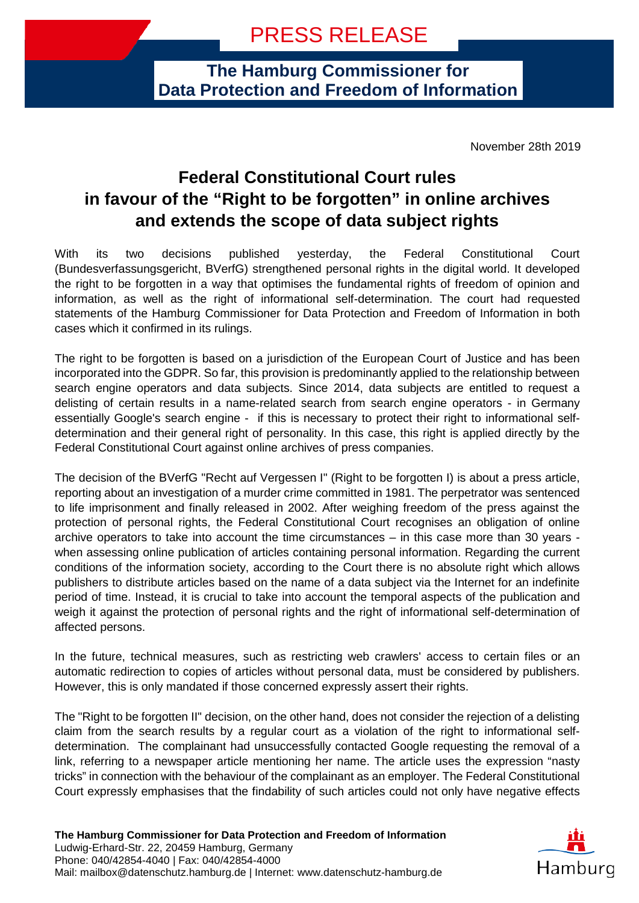**The Hamburg Commissioner for Data Protection and Freedom of Information**

November 28th 2019

## **Federal Constitutional Court rules in favour of the "Right to be forgotten" in online archives and extends the scope of data subject rights**

With its two decisions published yesterday, the Federal Constitutional Court (Bundesverfassungsgericht, BVerfG) strengthened personal rights in the digital world. It developed the right to be forgotten in a way that optimises the fundamental rights of freedom of opinion and information, as well as the right of informational self-determination. The court had requested statements of the Hamburg Commissioner for Data Protection and Freedom of Information in both cases which it confirmed in its rulings.

The right to be forgotten is based on a jurisdiction of the European Court of Justice and has been incorporated into the GDPR. So far, this provision is predominantly applied to the relationship between search engine operators and data subjects. Since 2014, data subjects are entitled to request a delisting of certain results in a name-related search from search engine operators - in Germany essentially Google's search engine - if this is necessary to protect their right to informational selfdetermination and their general right of personality. In this case, this right is applied directly by the Federal Constitutional Court against online archives of press companies.

The decision of the BVerfG "Recht auf Vergessen I" (Right to be forgotten I) is about a press article, reporting about an investigation of a murder crime committed in 1981. The perpetrator was sentenced to life imprisonment and finally released in 2002. After weighing freedom of the press against the protection of personal rights, the Federal Constitutional Court recognises an obligation of online archive operators to take into account the time circumstances – in this case more than 30 years when assessing online publication of articles containing personal information. Regarding the current conditions of the information society, according to the Court there is no absolute right which allows publishers to distribute articles based on the name of a data subject via the Internet for an indefinite period of time. Instead, it is crucial to take into account the temporal aspects of the publication and weigh it against the protection of personal rights and the right of informational self-determination of affected persons.

In the future, technical measures, such as restricting web crawlers' access to certain files or an automatic redirection to copies of articles without personal data, must be considered by publishers. However, this is only mandated if those concerned expressly assert their rights.

The "Right to be forgotten II" decision, on the other hand, does not consider the rejection of a delisting claim from the search results by a regular court as a violation of the right to informational selfdetermination. The complainant had unsuccessfully contacted Google requesting the removal of a link, referring to a newspaper article mentioning her name. The article uses the expression "nasty tricks" in connection with the behaviour of the complainant as an employer. The Federal Constitutional Court expressly emphasises that the findability of such articles could not only have negative effects